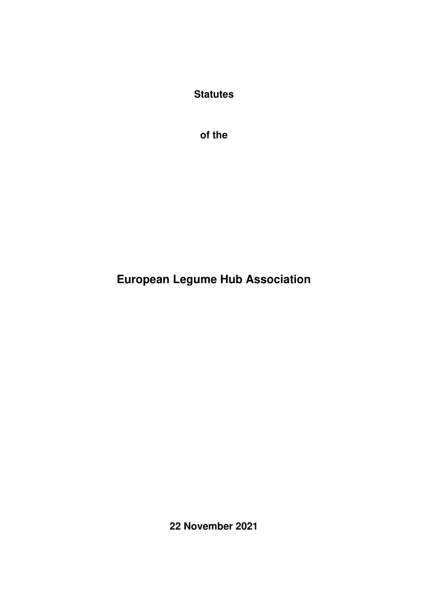**Statutes** 

**of the** 

# **European Legume Hub Association**

**22 November 2021**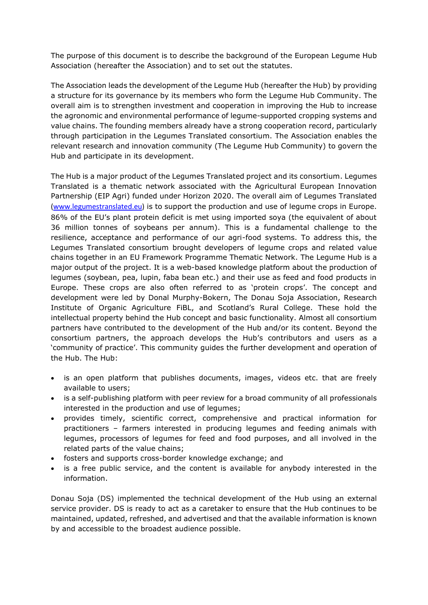The purpose of this document is to describe the background of the European Legume Hub Association (hereafter the Association) and to set out the statutes.

The Association leads the development of the Legume Hub (hereafter the Hub) by providing a structure for its governance by its members who form the Legume Hub Community. The overall aim is to strengthen investment and cooperation in improving the Hub to increase the agronomic and environmental performance of legume-supported cropping systems and value chains. The founding members already have a strong cooperation record, particularly through participation in the Legumes Translated consortium. The Association enables the relevant research and innovation community (The Legume Hub Community) to govern the Hub and participate in its development.

The Hub is a major product of the Legumes Translated project and its consortium. Legumes Translated is a thematic network associated with the Agricultural European Innovation Partnership (EIP Agri) funded under Horizon 2020. The overall aim of Legumes Translated [\(www.legumestranslated.eu\)](http://www.legumestranslated.eu/) is to support the production and use of legume crops in Europe. 86% of the EU's plant protein deficit is met using imported soya (the equivalent of about 36 million tonnes of soybeans per annum). This is a fundamental challenge to the resilience, acceptance and performance of our agri-food systems. To address this, the Legumes Translated consortium brought developers of legume crops and related value chains together in an EU Framework Programme Thematic Network. The Legume Hub is a major output of the project. It is a web-based knowledge platform about the production of legumes (soybean, pea, lupin, faba bean etc.) and their use as feed and food products in Europe. These crops are also often referred to as 'protein crops'. The concept and development were led by Donal Murphy-Bokern, The Donau Soja Association, Research Institute of Organic Agriculture FiBL, and Scotland's Rural College. These hold the intellectual property behind the Hub concept and basic functionality. Almost all consortium partners have contributed to the development of the Hub and/or its content. Beyond the consortium partners, the approach develops the Hub's contributors and users as a 'community of practice'. This community guides the further development and operation of the Hub. The Hub:

- is an open platform that publishes documents, images, videos etc. that are freely available to users;
- is a self-publishing platform with peer review for a broad community of all professionals interested in the production and use of legumes;
- provides timely, scientific correct, comprehensive and practical information for practitioners – farmers interested in producing legumes and feeding animals with legumes, processors of legumes for feed and food purposes, and all involved in the related parts of the value chains;
- fosters and supports cross-border knowledge exchange; and
- is a free public service, and the content is available for anybody interested in the information.

Donau Soja (DS) implemented the technical development of the Hub using an external service provider. DS is ready to act as a caretaker to ensure that the Hub continues to be maintained, updated, refreshed, and advertised and that the available information is known by and accessible to the broadest audience possible.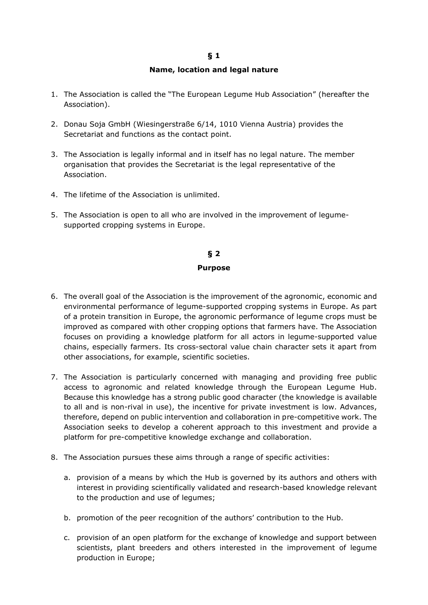### **Name, location and legal nature**

- 1. The Association is called the "The European Legume Hub Association" (hereafter the Association).
- 2. Donau Soja GmbH (Wiesingerstraße 6/14, 1010 Vienna Austria) provides the Secretariat and functions as the contact point.
- 3. The Association is legally informal and in itself has no legal nature. The member organisation that provides the Secretariat is the legal representative of the Association.
- 4. The lifetime of the Association is unlimited.
- 5. The Association is open to all who are involved in the improvement of legumesupported cropping systems in Europe.

# **§ 2**

#### **Purpose**

- 6. The overall goal of the Association is the improvement of the agronomic, economic and environmental performance of legume-supported cropping systems in Europe. As part of a protein transition in Europe, the agronomic performance of legume crops must be improved as compared with other cropping options that farmers have. The Association focuses on providing a knowledge platform for all actors in legume-supported value chains, especially farmers. Its cross-sectoral value chain character sets it apart from other associations, for example, scientific societies.
- 7. The Association is particularly concerned with managing and providing free public access to agronomic and related knowledge through the European Legume Hub. Because this knowledge has a strong public good character (the knowledge is available to all and is non-rival in use), the incentive for private investment is low. Advances, therefore, depend on public intervention and collaboration in pre-competitive work. The Association seeks to develop a coherent approach to this investment and provide a platform for pre-competitive knowledge exchange and collaboration.
- 8. The Association pursues these aims through a range of specific activities:
	- a. provision of a means by which the Hub is governed by its authors and others with interest in providing scientifically validated and research-based knowledge relevant to the production and use of legumes;
	- b. promotion of the peer recognition of the authors' contribution to the Hub.
	- c. provision of an open platform for the exchange of knowledge and support between scientists, plant breeders and others interested in the improvement of legume production in Europe;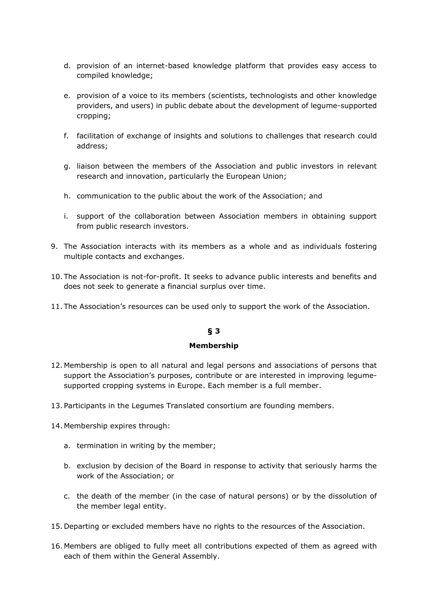- d. provision of an internet-based knowledge platform that provides easy access to compiled knowledge;
- e. provision of a voice to its members (scientists, technologists and other knowledge providers, and users) in public debate about the development of legume-supported cropping;
- f. facilitation of exchange of insights and solutions to challenges that research could address;
- g. liaison between the members of the Association and public investors in relevant research and innovation, particularly the European Union;
- h. communication to the public about the work of the Association; and
- i. support of the collaboration between Association members in obtaining support from public research investors.
- 9. The Association interacts with its members as a whole and as individuals fostering multiple contacts and exchanges.
- 10. The Association is not-for-profit. It seeks to advance public interests and benefits and does not seek to generate a financial surplus over time.
- 11. The Association's resources can be used only to support the work of the Association.

### **Membership**

- 12. Membership is open to all natural and legal persons and associations of persons that support the Association's purposes, contribute or are interested in improving legumesupported cropping systems in Europe. Each member is a full member.
- 13. Participants in the Legumes Translated consortium are founding members.
- 14. Membership expires through:
	- a. termination in writing by the member;
	- b. exclusion by decision of the Board in response to activity that seriously harms the work of the Association; or
	- c. the death of the member (in the case of natural persons) or by the dissolution of the member legal entity.
- 15. Departing or excluded members have no rights to the resources of the Association.
- 16. Members are obliged to fully meet all contributions expected of them as agreed with each of them within the General Assembly.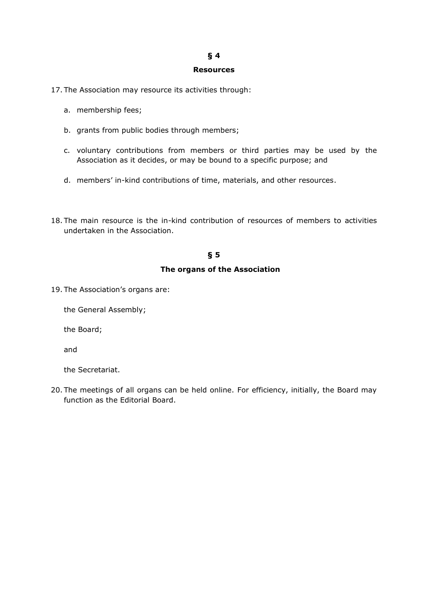#### **Resources**

17. The Association may resource its activities through:

- a. membership fees;
- b. grants from public bodies through members;
- c. voluntary contributions from members or third parties may be used by the Association as it decides, or may be bound to a specific purpose; and
- d. members' in-kind contributions of time, materials, and other resources.
- 18. The main resource is the in-kind contribution of resources of members to activities undertaken in the Association.

# **§ 5**

#### **The organs of the Association**

19. The Association's organs are:

the General Assembly;

the Board;

and

the Secretariat.

20. The meetings of all organs can be held online. For efficiency, initially, the Board may function as the Editorial Board.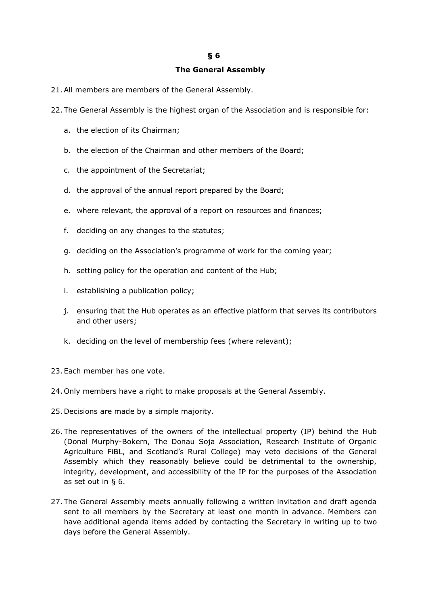### **The General Assembly**

- 21.All members are members of the General Assembly.
- 22. The General Assembly is the highest organ of the Association and is responsible for:
	- a. the election of its Chairman;
	- b. the election of the Chairman and other members of the Board;
	- c. the appointment of the Secretariat;
	- d. the approval of the annual report prepared by the Board;
	- e. where relevant, the approval of a report on resources and finances;
	- f. deciding on any changes to the statutes;
	- g. deciding on the Association's programme of work for the coming year;
	- h. setting policy for the operation and content of the Hub;
	- i. establishing a publication policy;
	- j. ensuring that the Hub operates as an effective platform that serves its contributors and other users;
	- k. deciding on the level of membership fees (where relevant);
- 23. Each member has one vote.
- 24. Only members have a right to make proposals at the General Assembly.
- 25. Decisions are made by a simple majority.
- 26. The representatives of the owners of the intellectual property (IP) behind the Hub (Donal Murphy-Bokern, The Donau Soja Association, Research Institute of Organic Agriculture FiBL, and Scotland's Rural College) may veto decisions of the General Assembly which they reasonably believe could be detrimental to the ownership, integrity, development, and accessibility of the IP for the purposes of the Association as set out in § 6.
- 27. The General Assembly meets annually following a written invitation and draft agenda sent to all members by the Secretary at least one month in advance. Members can have additional agenda items added by contacting the Secretary in writing up to two days before the General Assembly.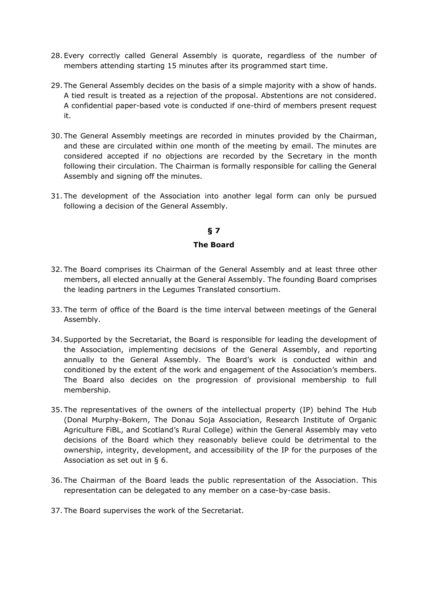- 28. Every correctly called General Assembly is quorate, regardless of the number of members attending starting 15 minutes after its programmed start time.
- 29. The General Assembly decides on the basis of a simple majority with a show of hands. A tied result is treated as a rejection of the proposal. Abstentions are not considered. A confidential paper-based vote is conducted if one-third of members present request it.
- 30. The General Assembly meetings are recorded in minutes provided by the Chairman, and these are circulated within one month of the meeting by email. The minutes are considered accepted if no objections are recorded by the Secretary in the month following their circulation. The Chairman is formally responsible for calling the General Assembly and signing off the minutes.
- 31. The development of the Association into another legal form can only be pursued following a decision of the General Assembly.

# **The Board**

- 32. The Board comprises its Chairman of the General Assembly and at least three other members, all elected annually at the General Assembly. The founding Board comprises the leading partners in the Legumes Translated consortium.
- 33. The term of office of the Board is the time interval between meetings of the General Assembly.
- 34.Supported by the Secretariat, the Board is responsible for leading the development of the Association, implementing decisions of the General Assembly, and reporting annually to the General Assembly. The Board's work is conducted within and conditioned by the extent of the work and engagement of the Association's members. The Board also decides on the progression of provisional membership to full membership.
- 35. The representatives of the owners of the intellectual property (IP) behind The Hub (Donal Murphy-Bokern, The Donau Soja Association, Research Institute of Organic Agriculture FiBL, and Scotland's Rural College) within the General Assembly may veto decisions of the Board which they reasonably believe could be detrimental to the ownership, integrity, development, and accessibility of the IP for the purposes of the Association as set out in § 6.
- 36. The Chairman of the Board leads the public representation of the Association. This representation can be delegated to any member on a case-by-case basis.
- 37. The Board supervises the work of the Secretariat.